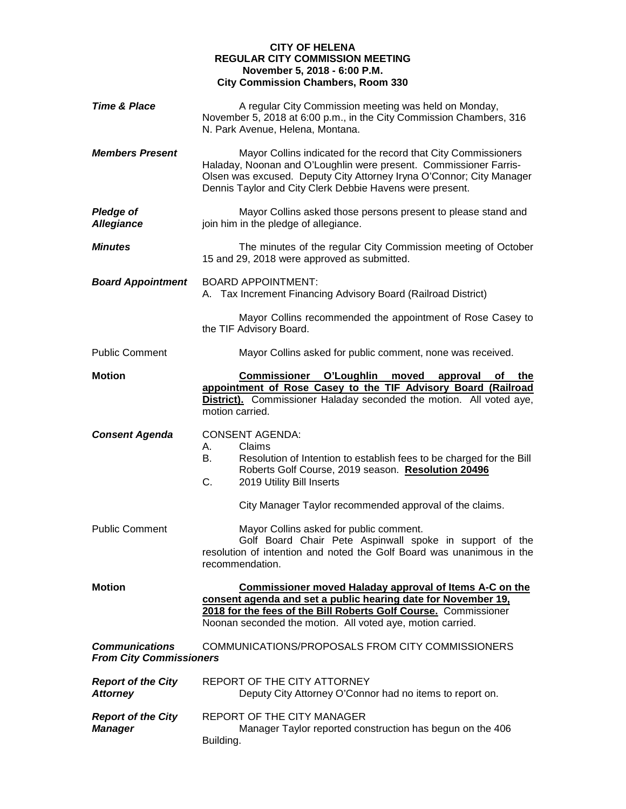## **CITY OF HELENA REGULAR CITY COMMISSION MEETING November 5, 2018 - 6:00 P.M. City Commission Chambers, Room 330**

| <b>Time &amp; Place</b>                                 | A regular City Commission meeting was held on Monday,<br>November 5, 2018 at 6:00 p.m., in the City Commission Chambers, 316<br>N. Park Avenue, Helena, Montana.                                                                                                        |
|---------------------------------------------------------|-------------------------------------------------------------------------------------------------------------------------------------------------------------------------------------------------------------------------------------------------------------------------|
| <b>Members Present</b>                                  | Mayor Collins indicated for the record that City Commissioners<br>Haladay, Noonan and O'Loughlin were present. Commissioner Farris-<br>Olsen was excused. Deputy City Attorney Iryna O'Connor; City Manager<br>Dennis Taylor and City Clerk Debbie Havens were present. |
| Pledge of<br><b>Allegiance</b>                          | Mayor Collins asked those persons present to please stand and<br>join him in the pledge of allegiance.                                                                                                                                                                  |
| <b>Minutes</b>                                          | The minutes of the regular City Commission meeting of October<br>15 and 29, 2018 were approved as submitted.                                                                                                                                                            |
| <b>Board Appointment</b>                                | <b>BOARD APPOINTMENT:</b><br>A. Tax Increment Financing Advisory Board (Railroad District)                                                                                                                                                                              |
|                                                         | Mayor Collins recommended the appointment of Rose Casey to<br>the TIF Advisory Board.                                                                                                                                                                                   |
| <b>Public Comment</b>                                   | Mayor Collins asked for public comment, none was received.                                                                                                                                                                                                              |
| <b>Motion</b>                                           | <b>Commissioner O'Loughlin</b><br>moved<br>approval<br>the<br>оf<br>appointment of Rose Casey to the TIF Advisory Board (Railroad<br>District). Commissioner Haladay seconded the motion. All voted aye,<br>motion carried.                                             |
| <b>Consent Agenda</b>                                   | <b>CONSENT AGENDA:</b><br>Claims<br>А.<br>Resolution of Intention to establish fees to be charged for the Bill<br>В.<br>Roberts Golf Course, 2019 season. Resolution 20496<br>C.<br>2019 Utility Bill Inserts                                                           |
|                                                         | City Manager Taylor recommended approval of the claims.                                                                                                                                                                                                                 |
| <b>Public Comment</b>                                   | Mayor Collins asked for public comment.<br>Golf Board Chair Pete Aspinwall spoke in support of the<br>resolution of intention and noted the Golf Board was unanimous in the<br>recommendation.                                                                          |
| <b>Motion</b>                                           | <b>Commissioner moved Haladay approval of Items A-C on the</b><br>consent agenda and set a public hearing date for November 19,<br>2018 for the fees of the Bill Roberts Golf Course. Commissioner<br>Noonan seconded the motion. All voted aye, motion carried.        |
| <b>Communications</b><br><b>From City Commissioners</b> | COMMUNICATIONS/PROPOSALS FROM CITY COMMISSIONERS                                                                                                                                                                                                                        |
| <b>Report of the City</b><br><b>Attorney</b>            | REPORT OF THE CITY ATTORNEY<br>Deputy City Attorney O'Connor had no items to report on.                                                                                                                                                                                 |
| <b>Report of the City</b><br><b>Manager</b>             | REPORT OF THE CITY MANAGER<br>Manager Taylor reported construction has begun on the 406<br>Building.                                                                                                                                                                    |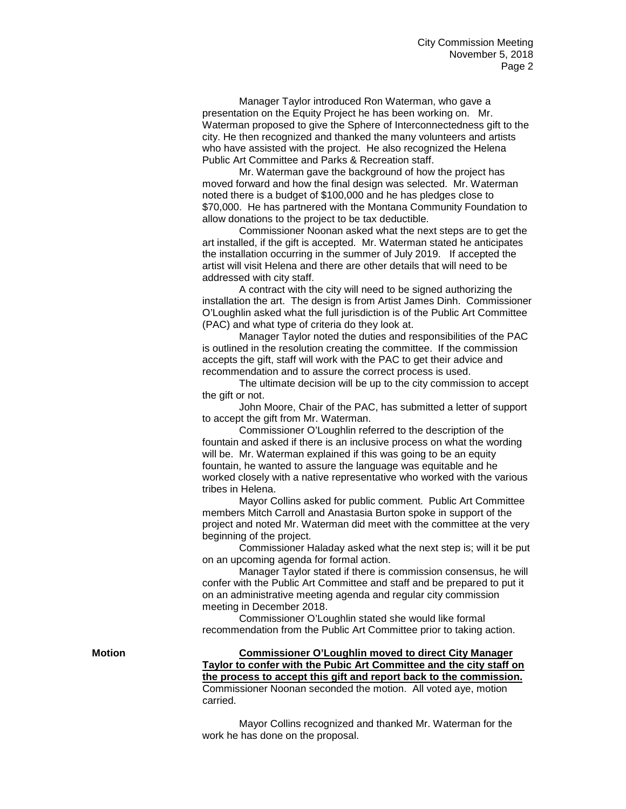Manager Taylor introduced Ron Waterman, who gave a presentation on the Equity Project he has been working on. Mr. Waterman proposed to give the Sphere of Interconnectedness gift to the city. He then recognized and thanked the many volunteers and artists who have assisted with the project. He also recognized the Helena Public Art Committee and Parks & Recreation staff.

Mr. Waterman gave the background of how the project has moved forward and how the final design was selected. Mr. Waterman noted there is a budget of \$100,000 and he has pledges close to \$70,000. He has partnered with the Montana Community Foundation to allow donations to the project to be tax deductible.

Commissioner Noonan asked what the next steps are to get the art installed, if the gift is accepted. Mr. Waterman stated he anticipates the installation occurring in the summer of July 2019. If accepted the artist will visit Helena and there are other details that will need to be addressed with city staff.

A contract with the city will need to be signed authorizing the installation the art. The design is from Artist James Dinh. Commissioner O'Loughlin asked what the full jurisdiction is of the Public Art Committee (PAC) and what type of criteria do they look at.

Manager Taylor noted the duties and responsibilities of the PAC is outlined in the resolution creating the committee. If the commission accepts the gift, staff will work with the PAC to get their advice and recommendation and to assure the correct process is used.

The ultimate decision will be up to the city commission to accept the gift or not.

John Moore, Chair of the PAC, has submitted a letter of support to accept the gift from Mr. Waterman.

Commissioner O'Loughlin referred to the description of the fountain and asked if there is an inclusive process on what the wording will be. Mr. Waterman explained if this was going to be an equity fountain, he wanted to assure the language was equitable and he worked closely with a native representative who worked with the various tribes in Helena.

Mayor Collins asked for public comment. Public Art Committee members Mitch Carroll and Anastasia Burton spoke in support of the project and noted Mr. Waterman did meet with the committee at the very beginning of the project.

Commissioner Haladay asked what the next step is; will it be put on an upcoming agenda for formal action.

Manager Taylor stated if there is commission consensus, he will confer with the Public Art Committee and staff and be prepared to put it on an administrative meeting agenda and regular city commission meeting in December 2018.

Commissioner O'Loughlin stated she would like formal recommendation from the Public Art Committee prior to taking action.

**Motion Commissioner O'Loughlin moved to direct City Manager Taylor to confer with the Pubic Art Committee and the city staff on the process to accept this gift and report back to the commission.**  Commissioner Noonan seconded the motion. All voted aye, motion carried.

> Mayor Collins recognized and thanked Mr. Waterman for the work he has done on the proposal.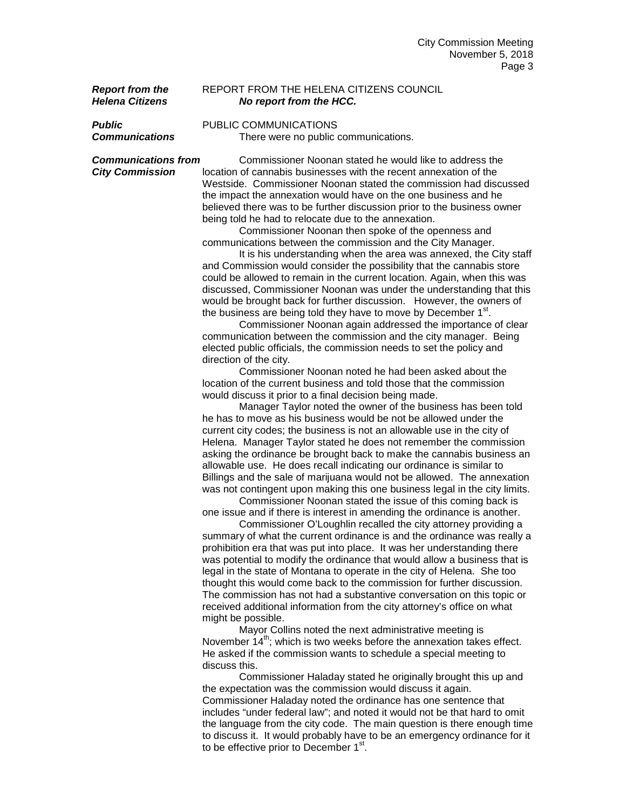## **Report from the REPORT FROM THE HELENA CITIZENS COUNCIL**<br> **Helena Citizens No report from the HCC.** *Helena Citizens No report from the HCC.*

**Public PUBLIC COMMUNICATIONS**<br>**Communications** There were no public of *Communications* There were no public communications.

*Communications from* Commissioner Noonan stated he would like to address the *City Commission* location of cannabis businesses with the recent annexation of the Westside. Commissioner Noonan stated the commission had discussed the impact the annexation would have on the one business and he believed there was to be further discussion prior to the business owner being told he had to relocate due to the annexation.

Commissioner Noonan then spoke of the openness and communications between the commission and the City Manager.

It is his understanding when the area was annexed, the City staff and Commission would consider the possibility that the cannabis store could be allowed to remain in the current location. Again, when this was discussed, Commissioner Noonan was under the understanding that this would be brought back for further discussion. However, the owners of the business are being told they have to move by December  $1<sup>st</sup>$ .

Commissioner Noonan again addressed the importance of clear communication between the commission and the city manager. Being elected public officials, the commission needs to set the policy and direction of the city.

Commissioner Noonan noted he had been asked about the location of the current business and told those that the commission would discuss it prior to a final decision being made.

Manager Taylor noted the owner of the business has been told he has to move as his business would be not be allowed under the current city codes; the business is not an allowable use in the city of Helena. Manager Taylor stated he does not remember the commission asking the ordinance be brought back to make the cannabis business an allowable use. He does recall indicating our ordinance is similar to Billings and the sale of marijuana would not be allowed. The annexation was not contingent upon making this one business legal in the city limits.

Commissioner Noonan stated the issue of this coming back is one issue and if there is interest in amending the ordinance is another.

Commissioner O'Loughlin recalled the city attorney providing a summary of what the current ordinance is and the ordinance was really a prohibition era that was put into place. It was her understanding there was potential to modify the ordinance that would allow a business that is legal in the state of Montana to operate in the city of Helena. She too thought this would come back to the commission for further discussion. The commission has not had a substantive conversation on this topic or received additional information from the city attorney's office on what might be possible.

Mayor Collins noted the next administrative meeting is November  $14<sup>th</sup>$ ; which is two weeks before the annexation takes effect. He asked if the commission wants to schedule a special meeting to discuss this.

Commissioner Haladay stated he originally brought this up and the expectation was the commission would discuss it again. Commissioner Haladay noted the ordinance has one sentence that includes "under federal law"; and noted it would not be that hard to omit the language from the city code. The main question is there enough time to discuss it. It would probably have to be an emergency ordinance for it to be effective prior to December  $1<sup>st</sup>$ .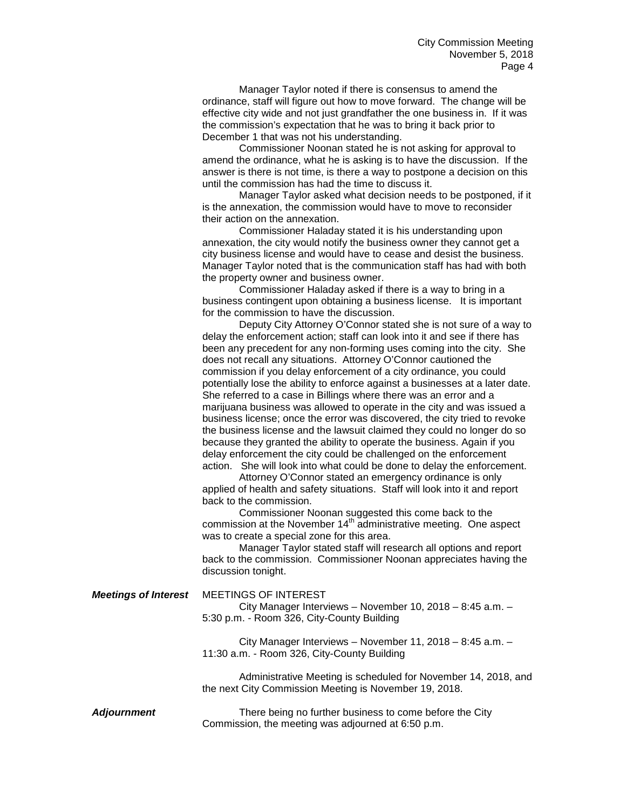Manager Taylor noted if there is consensus to amend the ordinance, staff will figure out how to move forward. The change will be effective city wide and not just grandfather the one business in. If it was the commission's expectation that he was to bring it back prior to December 1 that was not his understanding.

Commissioner Noonan stated he is not asking for approval to amend the ordinance, what he is asking is to have the discussion. If the answer is there is not time, is there a way to postpone a decision on this until the commission has had the time to discuss it.

Manager Taylor asked what decision needs to be postponed, if it is the annexation, the commission would have to move to reconsider their action on the annexation.

Commissioner Haladay stated it is his understanding upon annexation, the city would notify the business owner they cannot get a city business license and would have to cease and desist the business. Manager Taylor noted that is the communication staff has had with both the property owner and business owner.

Commissioner Haladay asked if there is a way to bring in a business contingent upon obtaining a business license. It is important for the commission to have the discussion.

Deputy City Attorney O'Connor stated she is not sure of a way to delay the enforcement action; staff can look into it and see if there has been any precedent for any non-forming uses coming into the city. She does not recall any situations. Attorney O'Connor cautioned the commission if you delay enforcement of a city ordinance, you could potentially lose the ability to enforce against a businesses at a later date. She referred to a case in Billings where there was an error and a marijuana business was allowed to operate in the city and was issued a business license; once the error was discovered, the city tried to revoke the business license and the lawsuit claimed they could no longer do so because they granted the ability to operate the business. Again if you delay enforcement the city could be challenged on the enforcement action. She will look into what could be done to delay the enforcement.

Attorney O'Connor stated an emergency ordinance is only applied of health and safety situations. Staff will look into it and report back to the commission.

Commissioner Noonan suggested this come back to the commission at the November  $14<sup>th</sup>$  administrative meeting. One aspect was to create a special zone for this area.

Manager Taylor stated staff will research all options and report back to the commission. Commissioner Noonan appreciates having the discussion tonight.

*Meetings of Interest* MEETINGS OF INTEREST

City Manager Interviews – November 10, 2018 – 8:45 a.m. – 5:30 p.m. - Room 326, City-County Building

City Manager Interviews – November 11, 2018 – 8:45 a.m. – 11:30 a.m. - Room 326, City-County Building

Administrative Meeting is scheduled for November 14, 2018, and the next City Commission Meeting is November 19, 2018.

A**djournment** There being no further business to come before the City Commission, the meeting was adjourned at 6:50 p.m.